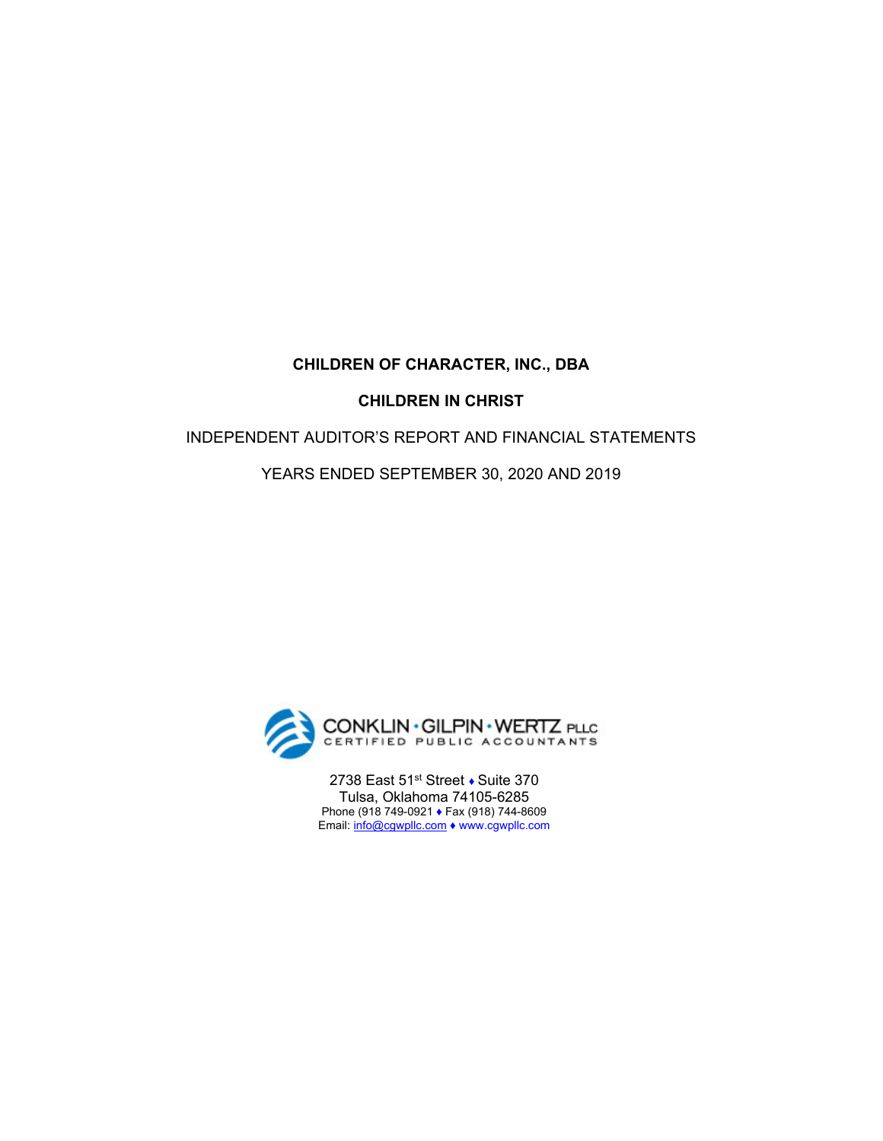# **CHILDREN OF CHARACTER, INC., DBA**

# **CHILDREN IN CHRIST**

# INDEPENDENT AUDITOR'S REPORT AND FINANCIAL STATEMENTS

YEARS ENDED SEPTEMBER 30, 2020 AND 2019



2738 East 51<sup>st</sup> Street • Suite 370 Tulsa, Oklahoma 74105-6285 Phone (918 749-0921 ♦ Fax (918) 744-8609 Email: info@cgwpllc.com ♦ www.cgwpllc.com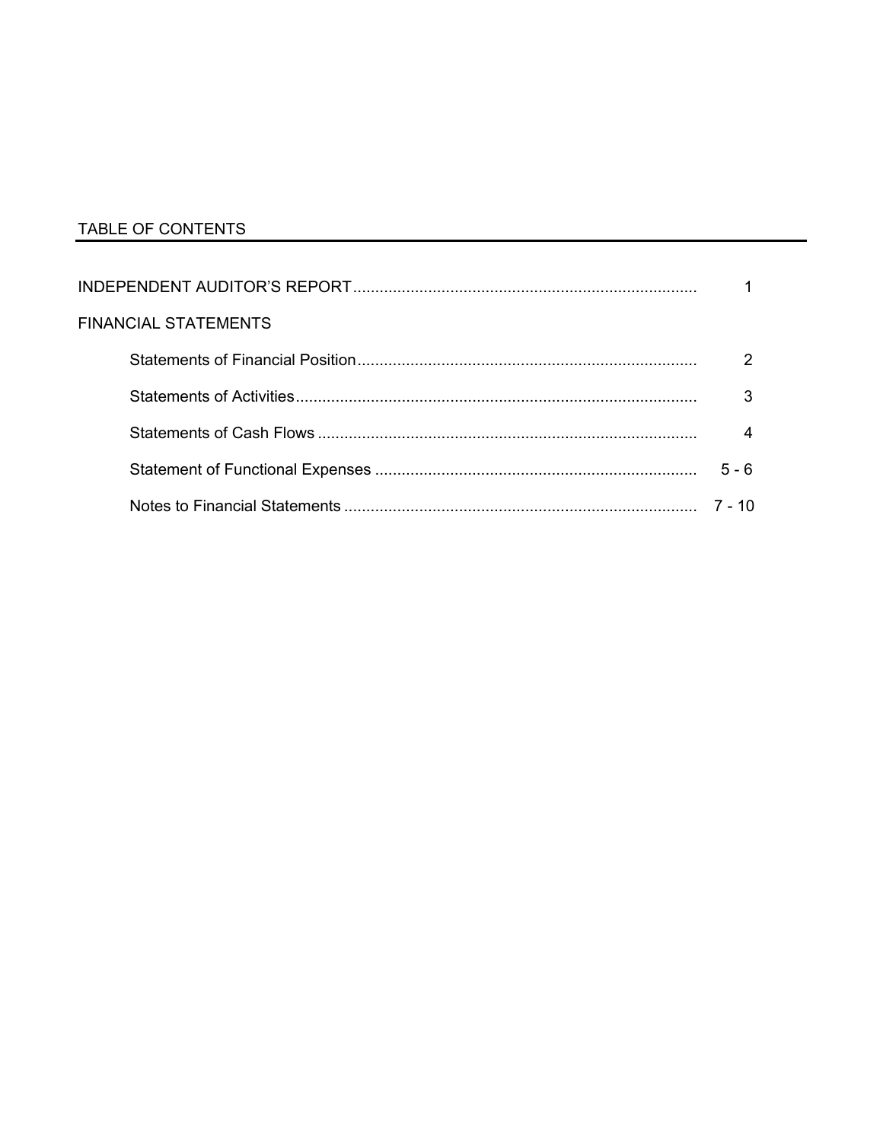# TABLE OF CONTENTS

| <b>FINANCIAL STATEMENTS</b> |         |
|-----------------------------|---------|
|                             |         |
|                             |         |
|                             |         |
|                             | $5 - 6$ |
|                             |         |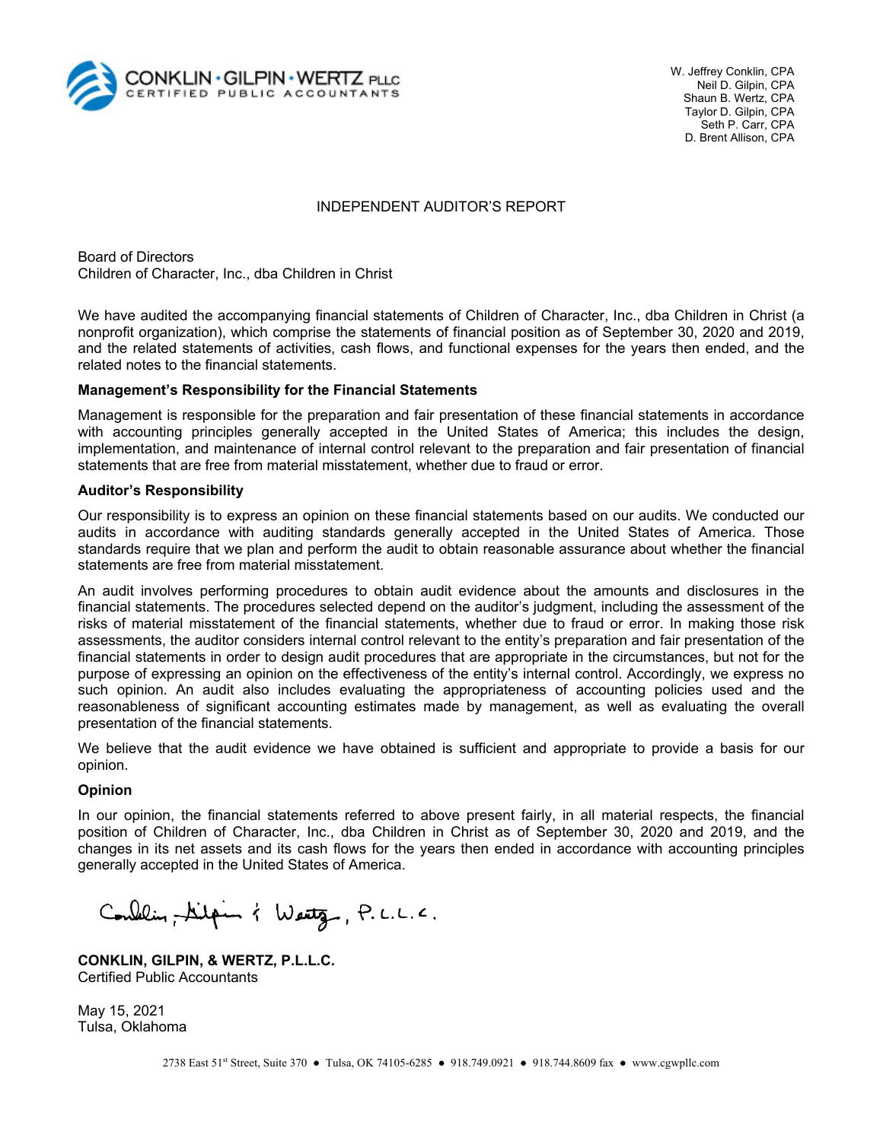

W. Jeffrey Conklin, CPA Neil D. Gilpin, CPA Shaun B. Wertz, CPA Taylor D. Gilpin, CPA Seth P. Carr, CPA D. Brent Allison, CPA

### INDEPENDENT AUDITOR'S REPORT

Board of Directors Children of Character, Inc., dba Children in Christ

We have audited the accompanying financial statements of Children of Character, Inc., dba Children in Christ (a nonprofit organization), which comprise the statements of financial position as of September 30, 2020 and 2019, and the related statements of activities, cash flows, and functional expenses for the years then ended, and the related notes to the financial statements.

#### **Management's Responsibility for the Financial Statements**

Management is responsible for the preparation and fair presentation of these financial statements in accordance with accounting principles generally accepted in the United States of America; this includes the design, implementation, and maintenance of internal control relevant to the preparation and fair presentation of financial statements that are free from material misstatement, whether due to fraud or error.

#### **Auditor's Responsibility**

Our responsibility is to express an opinion on these financial statements based on our audits. We conducted our audits in accordance with auditing standards generally accepted in the United States of America. Those standards require that we plan and perform the audit to obtain reasonable assurance about whether the financial statements are free from material misstatement.

An audit involves performing procedures to obtain audit evidence about the amounts and disclosures in the financial statements. The procedures selected depend on the auditor's judgment, including the assessment of the risks of material misstatement of the financial statements, whether due to fraud or error. In making those risk assessments, the auditor considers internal control relevant to the entity's preparation and fair presentation of the financial statements in order to design audit procedures that are appropriate in the circumstances, but not for the purpose of expressing an opinion on the effectiveness of the entity's internal control. Accordingly, we express no such opinion. An audit also includes evaluating the appropriateness of accounting policies used and the reasonableness of significant accounting estimates made by management, as well as evaluating the overall presentation of the financial statements.

We believe that the audit evidence we have obtained is sufficient and appropriate to provide a basis for our opinion.

### **Opinion**

In our opinion, the financial statements referred to above present fairly, in all material respects, the financial position of Children of Character, Inc., dba Children in Christ as of September 30, 2020 and 2019, and the changes in its net assets and its cash flows for the years then ended in accordance with accounting principles generally accepted in the United States of America.

Condeling - Silpin & Westg, P. L.L.C.

**CONKLIN, GILPIN, & WERTZ, P.L.L.C.**  Certified Public Accountants

May 15, 2021 Tulsa, Oklahoma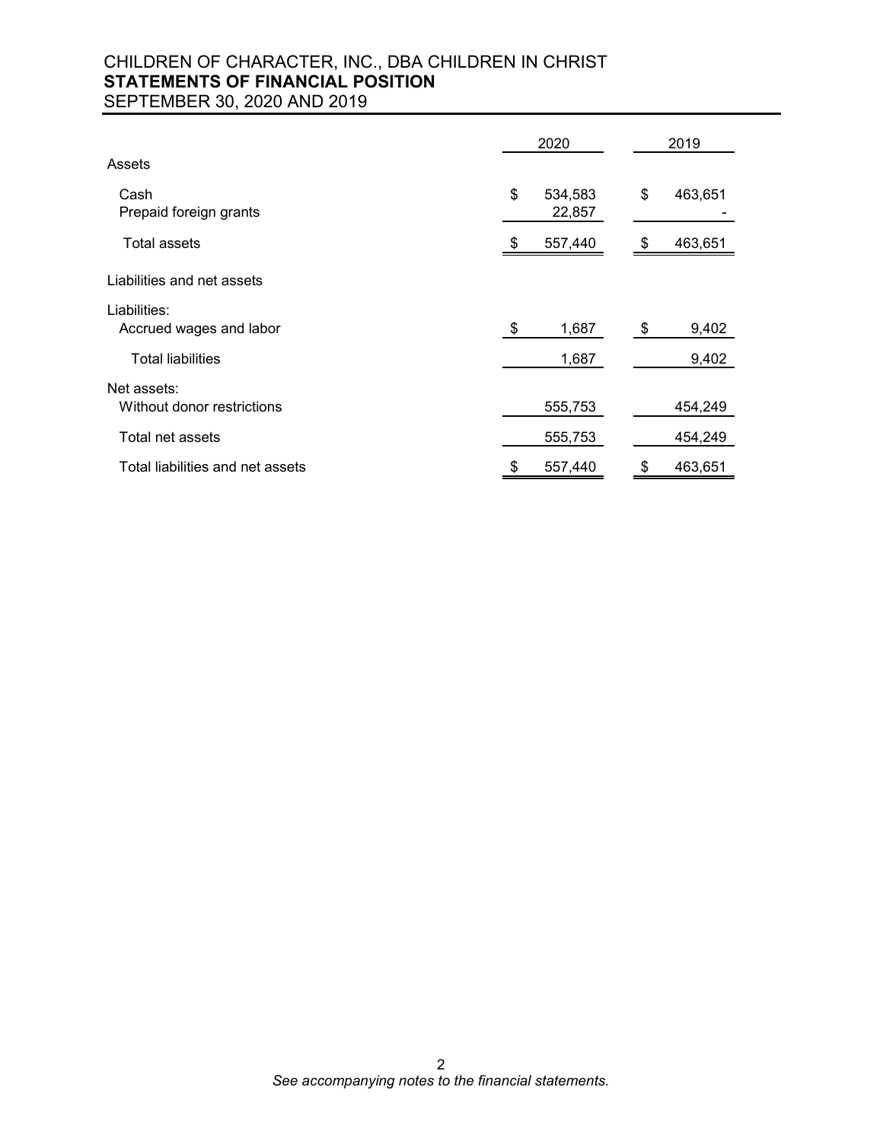# CHILDREN OF CHARACTER, INC., DBA CHILDREN IN CHRIST **STATEMENTS OF FINANCIAL POSITION**

SEPTEMBER 30, 2020 AND 2019

|                                           | 2020                    | 2019 |         |  |
|-------------------------------------------|-------------------------|------|---------|--|
| Assets                                    |                         |      |         |  |
| Cash<br>Prepaid foreign grants            | \$<br>534,583<br>22,857 | \$   | 463,651 |  |
| <b>Total assets</b>                       | \$<br>557,440           |      | 463,651 |  |
| Liabilities and net assets                |                         |      |         |  |
| Liabilities:<br>Accrued wages and labor   | \$<br>1,687             | \$   | 9,402   |  |
| <b>Total liabilities</b>                  | 1,687                   |      | 9,402   |  |
| Net assets:<br>Without donor restrictions | 555,753                 |      | 454,249 |  |
| Total net assets                          | 555,753                 |      | 454,249 |  |
| Total liabilities and net assets          | \$<br>557,440           |      | 463,651 |  |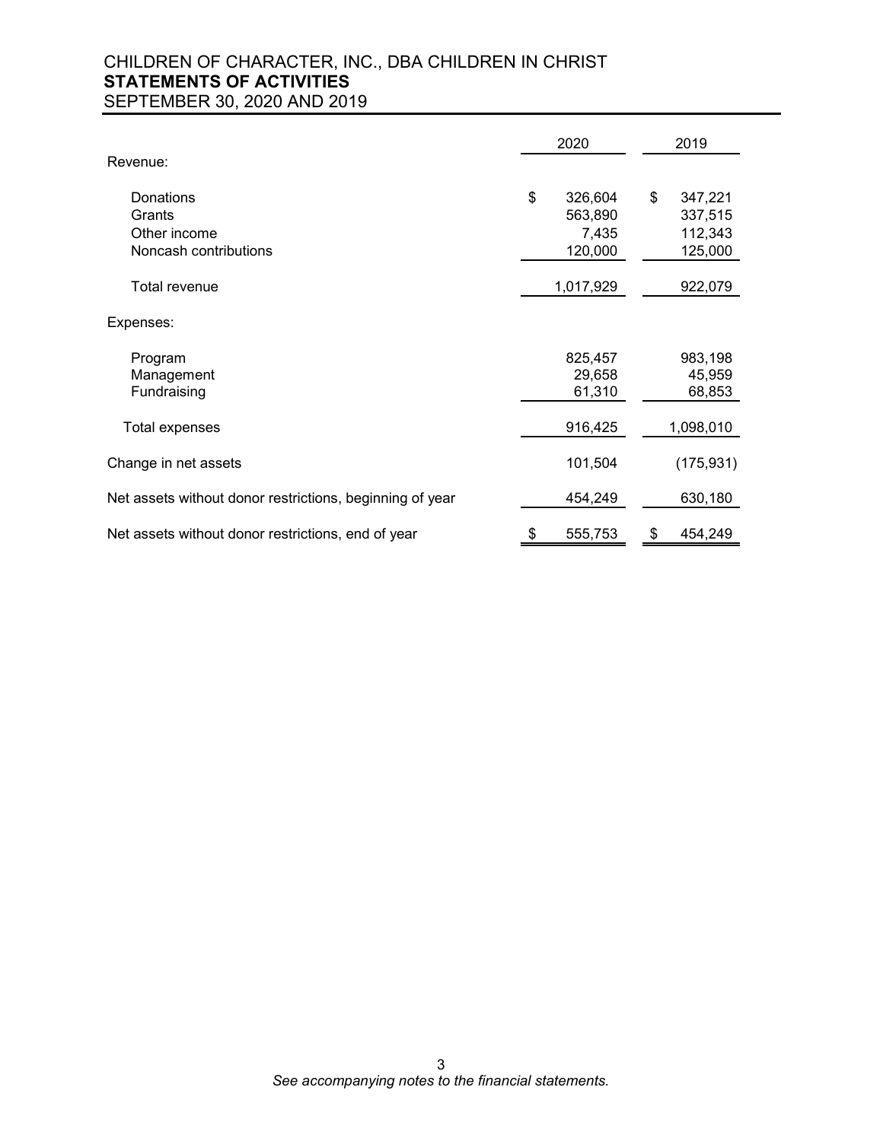# CHILDREN OF CHARACTER, INC., DBA CHILDREN IN CHRIST **STATEMENTS OF ACTIVITIES**  SEPTEMBER 30, 2020 AND 2019

|                                                              | 2020 |                                        | 2019                                           |
|--------------------------------------------------------------|------|----------------------------------------|------------------------------------------------|
| Revenue:                                                     |      |                                        |                                                |
| Donations<br>Grants<br>Other income<br>Noncash contributions | \$   | 326,604<br>563,890<br>7,435<br>120,000 | \$<br>347,221<br>337,515<br>112,343<br>125,000 |
| Total revenue                                                |      | 1,017,929                              | 922,079                                        |
| Expenses:                                                    |      |                                        |                                                |
| Program<br>Management<br>Fundraising                         |      | 825,457<br>29,658<br>61,310            | 983,198<br>45,959<br>68,853                    |
| Total expenses                                               |      | 916,425                                | 1,098,010                                      |
| Change in net assets                                         |      | 101,504                                | (175, 931)                                     |
| Net assets without donor restrictions, beginning of year     |      | 454,249                                | 630,180                                        |
| Net assets without donor restrictions, end of year           | \$   | 555,753                                | \$<br>454,249                                  |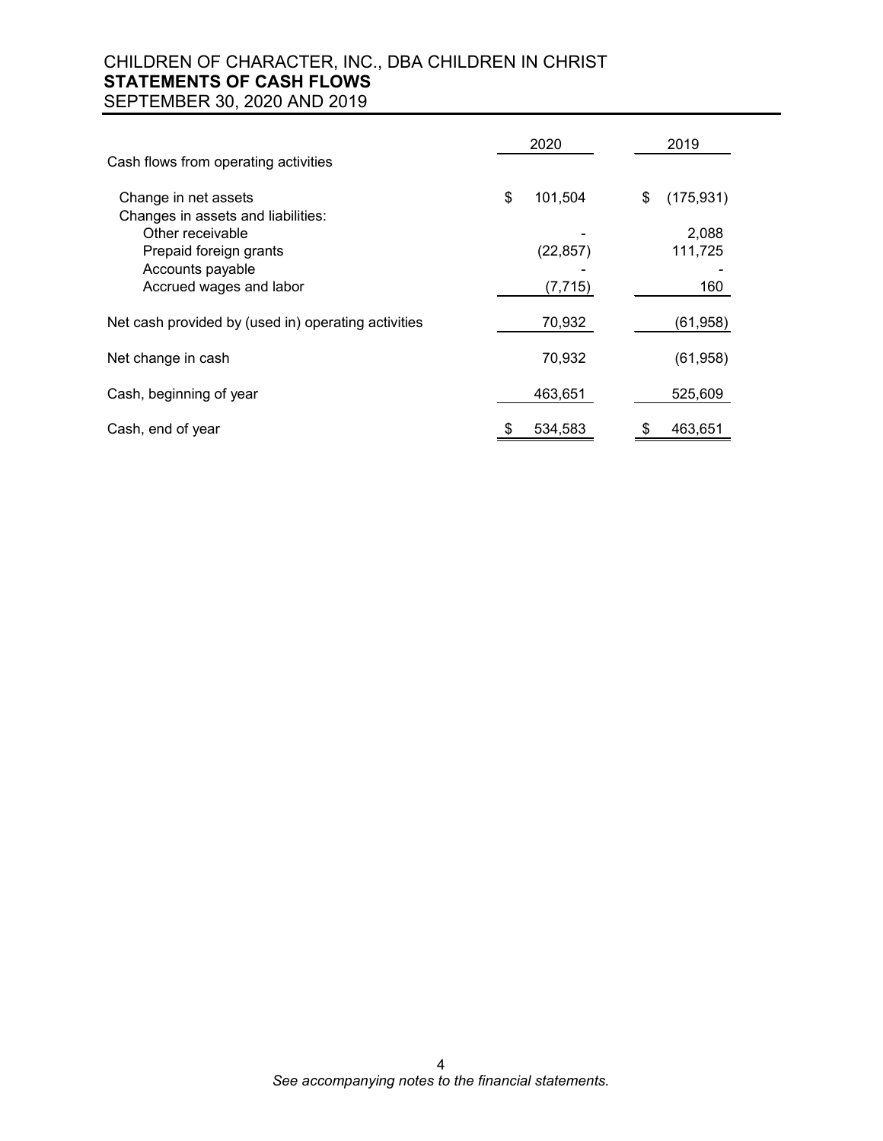# CHILDREN OF CHARACTER, INC., DBA CHILDREN IN CHRIST **STATEMENTS OF CASH FLOWS**

SEPTEMBER 30, 2020 AND 2019

| Cash flows from operating activities                           | 2020          | 2019             |
|----------------------------------------------------------------|---------------|------------------|
| Change in net assets<br>Changes in assets and liabilities:     | \$<br>101,504 | \$<br>(175, 931) |
| Other receivable<br>Prepaid foreign grants<br>Accounts payable | (22, 857)     | 2,088<br>111.725 |
| Accrued wages and labor                                        | (7, 715)      | 160              |
| Net cash provided by (used in) operating activities            | 70,932        | (61, 958)        |
| Net change in cash                                             | 70,932        | (61, 958)        |
| Cash, beginning of year                                        | 463,651       | 525,609          |
| Cash, end of year                                              | 534,583       | 463,651          |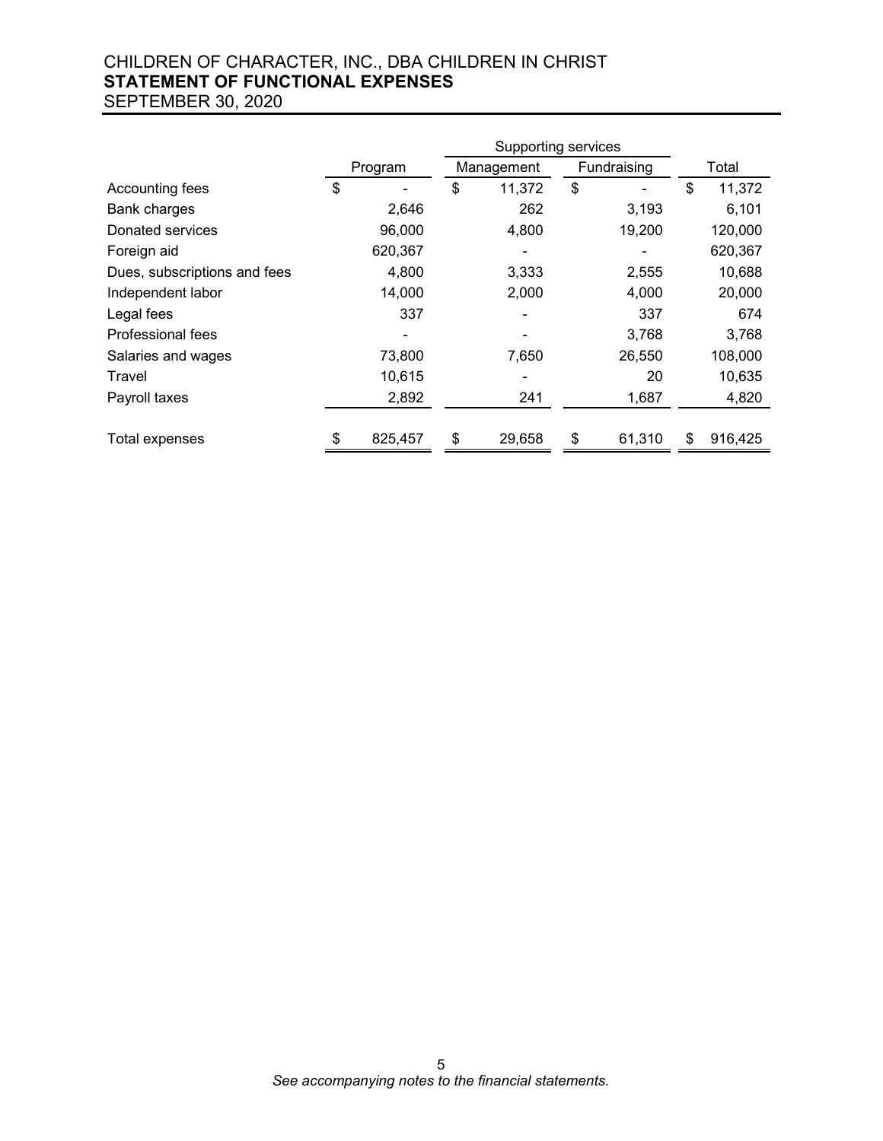# CHILDREN OF CHARACTER, INC., DBA CHILDREN IN CHRIST **STATEMENT OF FUNCTIONAL EXPENSES**  SEPTEMBER 30, 2020

|                              |         | Supporting services |        |             |        |               |
|------------------------------|---------|---------------------|--------|-------------|--------|---------------|
|                              | Program | Management          |        | Fundraising |        | Total         |
| Accounting fees              | \$      | \$                  | 11,372 | \$          |        | \$<br>11,372  |
| Bank charges                 | 2,646   |                     | 262    |             | 3,193  | 6,101         |
| Donated services             | 96,000  |                     | 4,800  |             | 19,200 | 120,000       |
| Foreign aid                  | 620,367 |                     |        |             |        | 620,367       |
| Dues, subscriptions and fees | 4,800   |                     | 3,333  |             | 2,555  | 10,688        |
| Independent labor            | 14,000  |                     | 2,000  |             | 4,000  | 20,000        |
| Legal fees                   | 337     |                     |        |             | 337    | 674           |
| Professional fees            |         |                     |        |             | 3,768  | 3,768         |
| Salaries and wages           | 73,800  |                     | 7,650  |             | 26,550 | 108,000       |
| Travel                       | 10,615  |                     |        |             | 20     | 10,635        |
| Payroll taxes                | 2,892   |                     | 241    |             | 1,687  | 4,820         |
|                              |         |                     |        |             |        |               |
| Total expenses               | 825,457 | \$                  | 29,658 | \$          | 61,310 | \$<br>916,425 |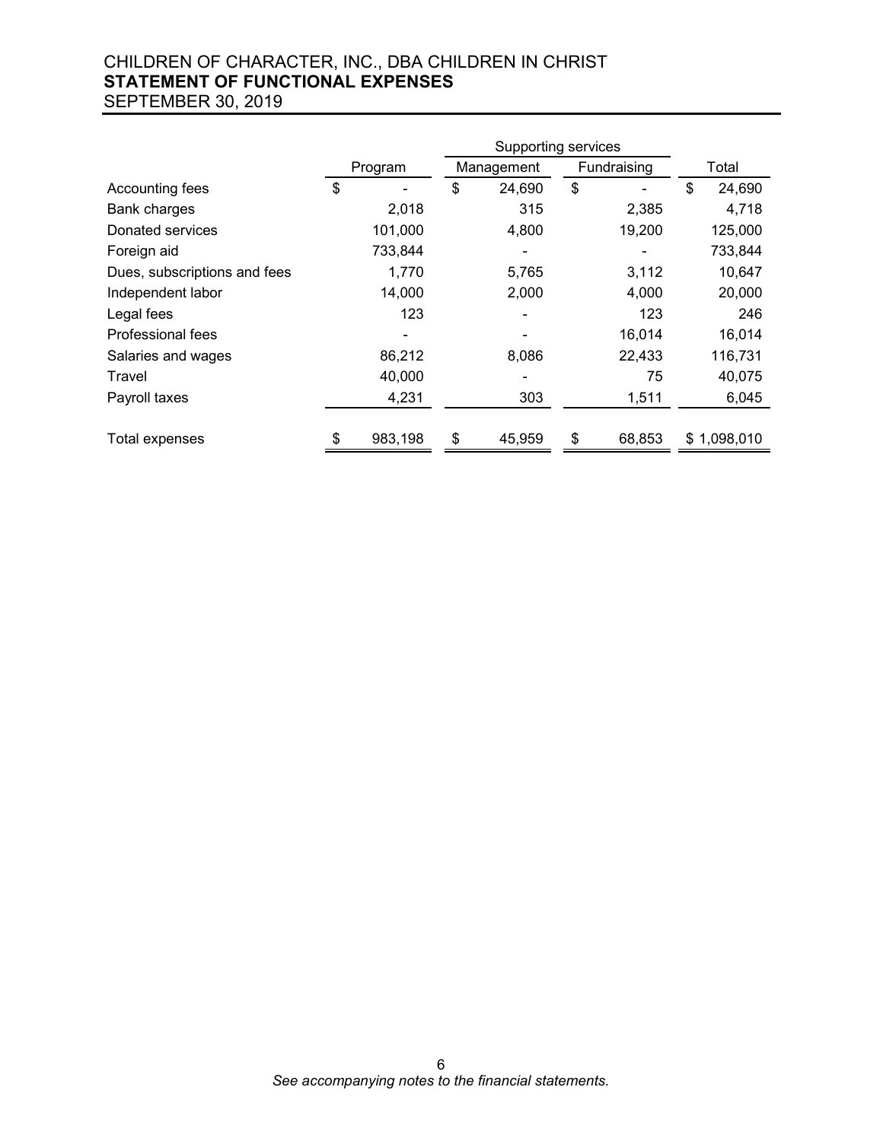# CHILDREN OF CHARACTER, INC., DBA CHILDREN IN CHRIST **STATEMENT OF FUNCTIONAL EXPENSES**  SEPTEMBER 30, 2019

|                              |               | Supporting services |        |             |        |              |
|------------------------------|---------------|---------------------|--------|-------------|--------|--------------|
|                              | Program       | Management          |        | Fundraising |        | Total        |
| Accounting fees              | \$            | \$                  | 24,690 | \$          |        | \$<br>24,690 |
| Bank charges                 | 2,018         |                     | 315    |             | 2,385  | 4,718        |
| Donated services             | 101,000       |                     | 4,800  |             | 19,200 | 125,000      |
| Foreign aid                  | 733,844       |                     |        |             |        | 733,844      |
| Dues, subscriptions and fees | 1,770         |                     | 5,765  |             | 3,112  | 10,647       |
| Independent labor            | 14,000        |                     | 2,000  |             | 4,000  | 20,000       |
| Legal fees                   | 123           |                     |        |             | 123    | 246          |
| Professional fees            |               |                     |        |             | 16,014 | 16,014       |
| Salaries and wages           | 86,212        |                     | 8,086  |             | 22,433 | 116,731      |
| Travel                       | 40,000        |                     |        |             | 75     | 40,075       |
| Payroll taxes                | 4,231         |                     | 303    |             | 1,511  | 6,045        |
|                              |               |                     |        |             |        |              |
| Total expenses               | \$<br>983,198 | \$                  | 45,959 | \$          | 68,853 | \$1,098,010  |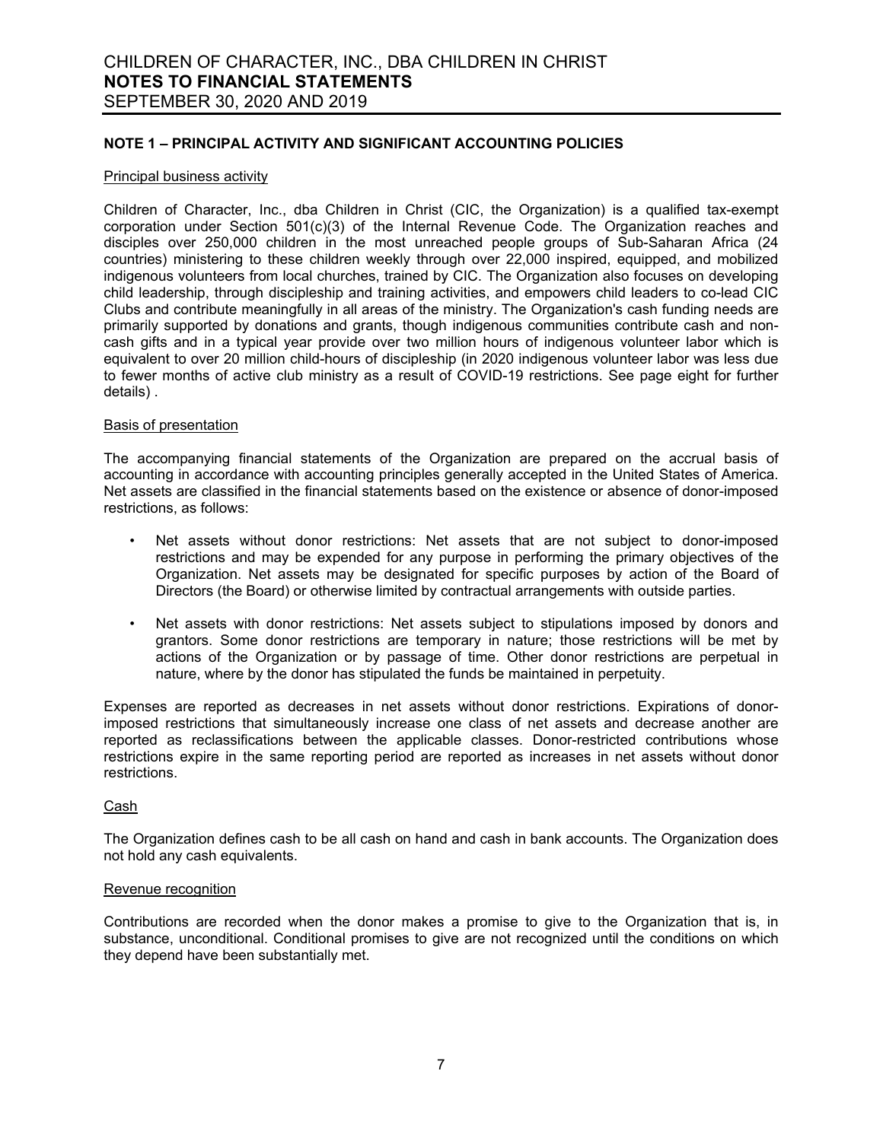### **NOTE 1 – PRINCIPAL ACTIVITY AND SIGNIFICANT ACCOUNTING POLICIES**

#### Principal business activity

Children of Character, Inc., dba Children in Christ (CIC, the Organization) is a qualified tax-exempt corporation under Section 501(c)(3) of the Internal Revenue Code. The Organization reaches and disciples over 250,000 children in the most unreached people groups of Sub-Saharan Africa (24 countries) ministering to these children weekly through over 22,000 inspired, equipped, and mobilized indigenous volunteers from local churches, trained by CIC. The Organization also focuses on developing child leadership, through discipleship and training activities, and empowers child leaders to co-lead CIC Clubs and contribute meaningfully in all areas of the ministry. The Organization's cash funding needs are primarily supported by donations and grants, though indigenous communities contribute cash and noncash gifts and in a typical year provide over two million hours of indigenous volunteer labor which is equivalent to over 20 million child-hours of discipleship (in 2020 indigenous volunteer labor was less due to fewer months of active club ministry as a result of COVID-19 restrictions. See page eight for further details) .

#### Basis of presentation

The accompanying financial statements of the Organization are prepared on the accrual basis of accounting in accordance with accounting principles generally accepted in the United States of America. Net assets are classified in the financial statements based on the existence or absence of donor-imposed restrictions, as follows:

- Net assets without donor restrictions: Net assets that are not subject to donor-imposed restrictions and may be expended for any purpose in performing the primary objectives of the Organization. Net assets may be designated for specific purposes by action of the Board of Directors (the Board) or otherwise limited by contractual arrangements with outside parties.
- Net assets with donor restrictions: Net assets subject to stipulations imposed by donors and grantors. Some donor restrictions are temporary in nature; those restrictions will be met by actions of the Organization or by passage of time. Other donor restrictions are perpetual in nature, where by the donor has stipulated the funds be maintained in perpetuity.

Expenses are reported as decreases in net assets without donor restrictions. Expirations of donorimposed restrictions that simultaneously increase one class of net assets and decrease another are reported as reclassifications between the applicable classes. Donor-restricted contributions whose restrictions expire in the same reporting period are reported as increases in net assets without donor restrictions.

### Cash

The Organization defines cash to be all cash on hand and cash in bank accounts. The Organization does not hold any cash equivalents.

#### Revenue recognition

Contributions are recorded when the donor makes a promise to give to the Organization that is, in substance, unconditional. Conditional promises to give are not recognized until the conditions on which they depend have been substantially met.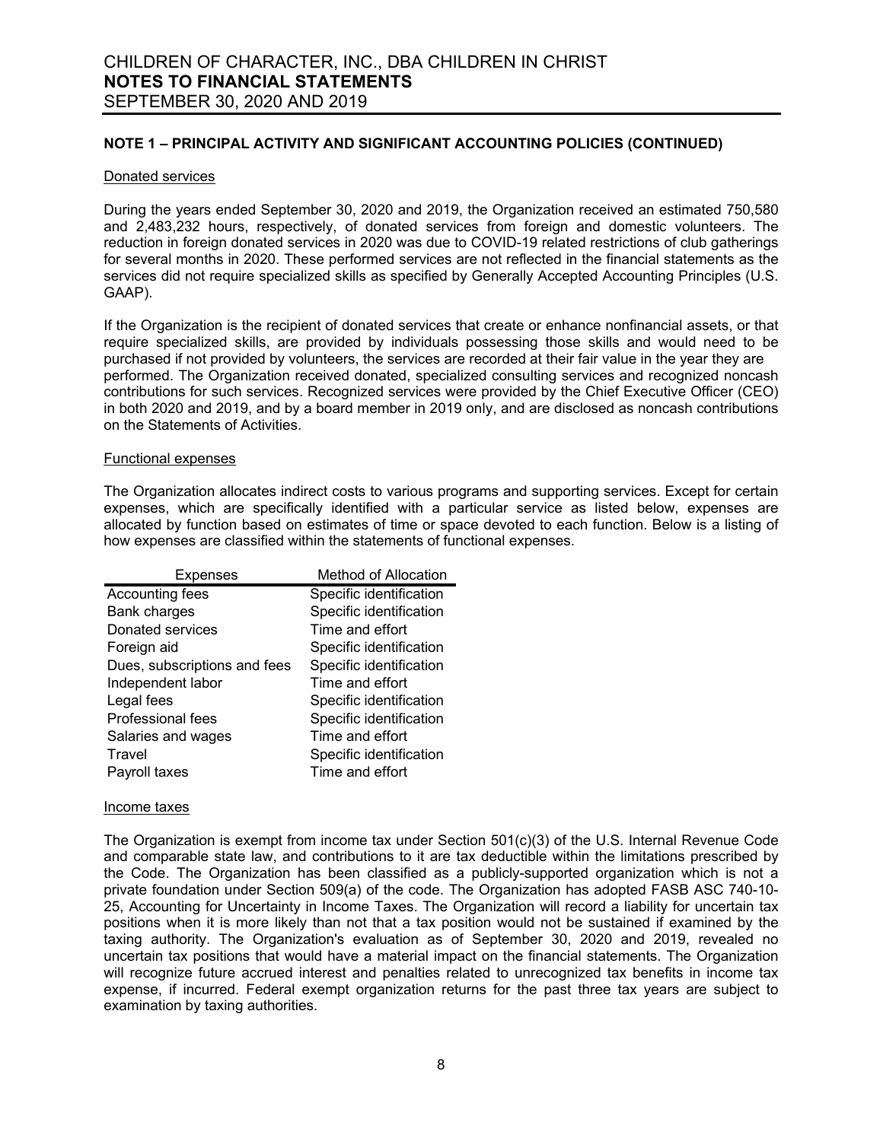# **NOTE 1 – PRINCIPAL ACTIVITY AND SIGNIFICANT ACCOUNTING POLICIES (CONTINUED)**

#### Donated services

During the years ended September 30, 2020 and 2019, the Organization received an estimated 750,580 and 2,483,232 hours, respectively, of donated services from foreign and domestic volunteers. The reduction in foreign donated services in 2020 was due to COVID-19 related restrictions of club gatherings for several months in 2020. These performed services are not reflected in the financial statements as the services did not require specialized skills as specified by Generally Accepted Accounting Principles (U.S. GAAP).

If the Organization is the recipient of donated services that create or enhance nonfinancial assets, or that require specialized skills, are provided by individuals possessing those skills and would need to be purchased if not provided by volunteers, the services are recorded at their fair value in the year they are performed. The Organization received donated, specialized consulting services and recognized noncash contributions for such services. Recognized services were provided by the Chief Executive Officer (CEO) in both 2020 and 2019, and by a board member in 2019 only, and are disclosed as noncash contributions on the Statements of Activities.

#### Functional expenses

The Organization allocates indirect costs to various programs and supporting services. Except for certain expenses, which are specifically identified with a particular service as listed below, expenses are allocated by function based on estimates of time or space devoted to each function. Below is a listing of how expenses are classified within the statements of functional expenses.

| <b>Expenses</b>              | <b>Method of Allocation</b> |
|------------------------------|-----------------------------|
| Accounting fees              | Specific identification     |
| Bank charges                 | Specific identification     |
| Donated services             | Time and effort             |
| Foreign aid                  | Specific identification     |
| Dues, subscriptions and fees | Specific identification     |
| Independent labor            | Time and effort             |
| Legal fees                   | Specific identification     |
| Professional fees            | Specific identification     |
| Salaries and wages           | Time and effort             |
| Travel                       | Specific identification     |
| Payroll taxes                | Time and effort             |

#### Income taxes

The Organization is exempt from income tax under Section 501(c)(3) of the U.S. Internal Revenue Code and comparable state law, and contributions to it are tax deductible within the limitations prescribed by the Code. The Organization has been classified as a publicly-supported organization which is not a private foundation under Section 509(a) of the code. The Organization has adopted FASB ASC 740-10- 25, Accounting for Uncertainty in Income Taxes. The Organization will record a liability for uncertain tax positions when it is more likely than not that a tax position would not be sustained if examined by the taxing authority. The Organization's evaluation as of September 30, 2020 and 2019, revealed no uncertain tax positions that would have a material impact on the financial statements. The Organization will recognize future accrued interest and penalties related to unrecognized tax benefits in income tax expense, if incurred. Federal exempt organization returns for the past three tax years are subject to examination by taxing authorities.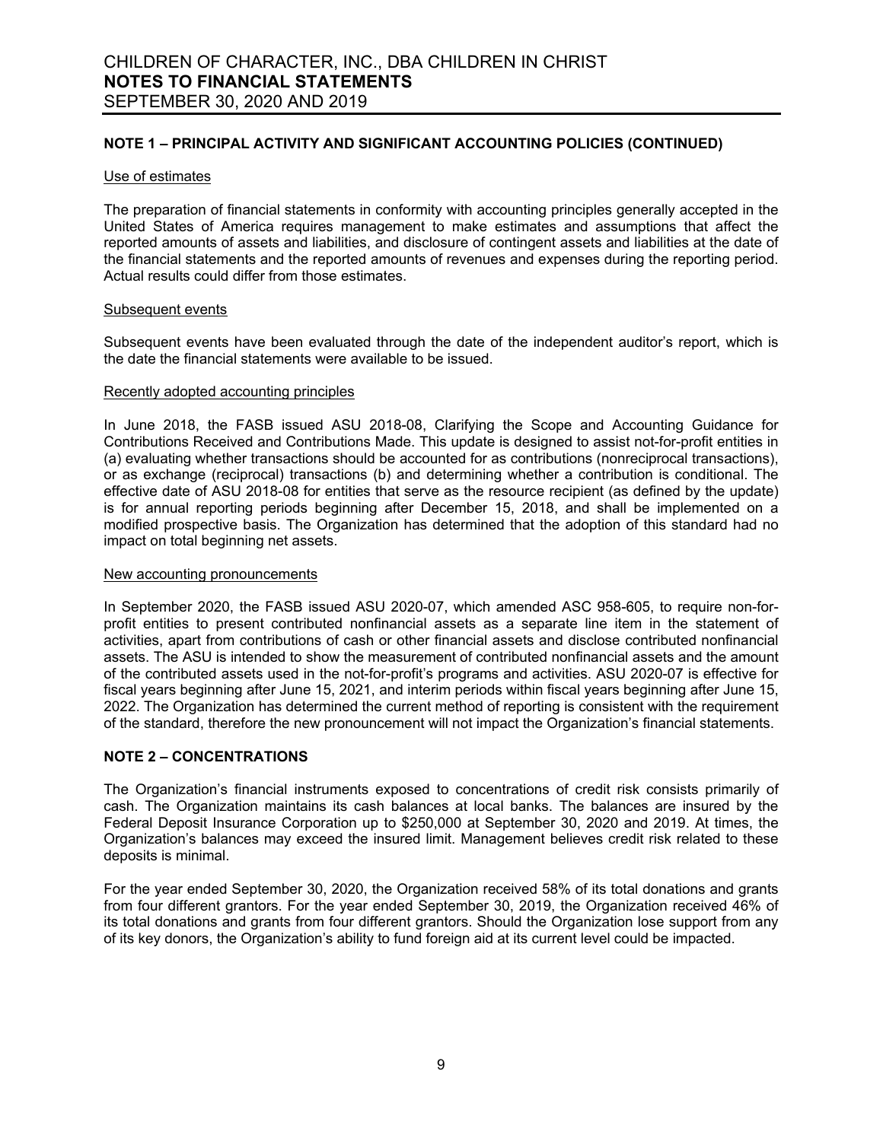# **NOTE 1 – PRINCIPAL ACTIVITY AND SIGNIFICANT ACCOUNTING POLICIES (CONTINUED)**

#### Use of estimates

The preparation of financial statements in conformity with accounting principles generally accepted in the United States of America requires management to make estimates and assumptions that affect the reported amounts of assets and liabilities, and disclosure of contingent assets and liabilities at the date of the financial statements and the reported amounts of revenues and expenses during the reporting period. Actual results could differ from those estimates.

#### Subsequent events

Subsequent events have been evaluated through the date of the independent auditor's report, which is the date the financial statements were available to be issued.

#### Recently adopted accounting principles

In June 2018, the FASB issued ASU 2018-08, Clarifying the Scope and Accounting Guidance for Contributions Received and Contributions Made. This update is designed to assist not-for-profit entities in (a) evaluating whether transactions should be accounted for as contributions (nonreciprocal transactions), or as exchange (reciprocal) transactions (b) and determining whether a contribution is conditional. The effective date of ASU 2018-08 for entities that serve as the resource recipient (as defined by the update) is for annual reporting periods beginning after December 15, 2018, and shall be implemented on a modified prospective basis. The Organization has determined that the adoption of this standard had no impact on total beginning net assets.

#### New accounting pronouncements

In September 2020, the FASB issued ASU 2020-07, which amended ASC 958-605, to require non-forprofit entities to present contributed nonfinancial assets as a separate line item in the statement of activities, apart from contributions of cash or other financial assets and disclose contributed nonfinancial assets. The ASU is intended to show the measurement of contributed nonfinancial assets and the amount of the contributed assets used in the not-for-profit's programs and activities. ASU 2020-07 is effective for fiscal years beginning after June 15, 2021, and interim periods within fiscal years beginning after June 15, 2022. The Organization has determined the current method of reporting is consistent with the requirement of the standard, therefore the new pronouncement will not impact the Organization's financial statements.

### **NOTE 2 – CONCENTRATIONS**

The Organization's financial instruments exposed to concentrations of credit risk consists primarily of cash. The Organization maintains its cash balances at local banks. The balances are insured by the Federal Deposit Insurance Corporation up to \$250,000 at September 30, 2020 and 2019. At times, the Organization's balances may exceed the insured limit. Management believes credit risk related to these deposits is minimal.

For the year ended September 30, 2020, the Organization received 58% of its total donations and grants from four different grantors. For the year ended September 30, 2019, the Organization received 46% of its total donations and grants from four different grantors. Should the Organization lose support from any of its key donors, the Organization's ability to fund foreign aid at its current level could be impacted.